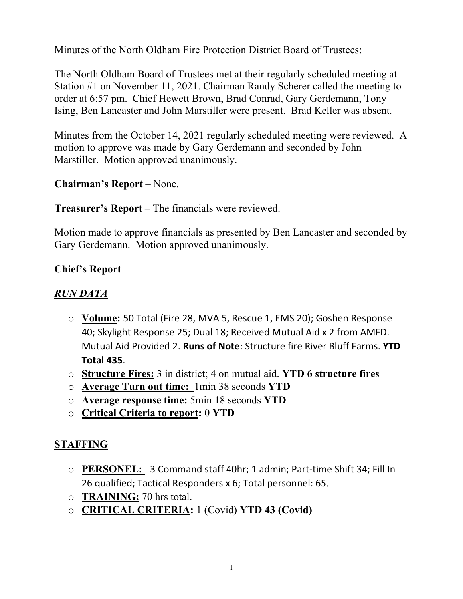Minutes of the North Oldham Fire Protection District Board of Trustees:

The North Oldham Board of Trustees met at their regularly scheduled meeting at Station #1 on November 11, 2021. Chairman Randy Scherer called the meeting to order at 6:57 pm. Chief Hewett Brown, Brad Conrad, Gary Gerdemann, Tony Ising, Ben Lancaster and John Marstiller were present. Brad Keller was absent.

Minutes from the October 14, 2021 regularly scheduled meeting were reviewed. A motion to approve was made by Gary Gerdemann and seconded by John Marstiller. Motion approved unanimously.

# **Chairman's Report** – None.

### **Treasurer's Report** – The financials were reviewed.

Motion made to approve financials as presented by Ben Lancaster and seconded by Gary Gerdemann. Motion approved unanimously.

### **Chief's Report** –

#### *RUN DATA*

- o **Volume:** 50 Total (Fire 28, MVA 5, Rescue 1, EMS 20); Goshen Response 40; Skylight Response 25; Dual 18; Received Mutual Aid x 2 from AMFD. Mutual Aid Provided 2. **Runs of Note**: Structure fire River Bluff Farms. **YTD Total 435**.
- o **Structure Fires:** 3 in district; 4 on mutual aid. **YTD 6 structure fires**
- o **Average Turn out time:** 1min 38 seconds **YTD**
- o **Average response time:** 5min 18 seconds **YTD**
- o **Critical Criteria to report:** 0 **YTD**

### **STAFFING**

- o **PERSONEL:** 3 Command staff 40hr; 1 admin; Part-time Shift 34; Fill In 26 qualified; Tactical Responders x 6; Total personnel: 65.
- o **TRAINING:** 70 hrs total.
- o **CRITICAL CRITERIA:** 1 (Covid) **YTD 43 (Covid)**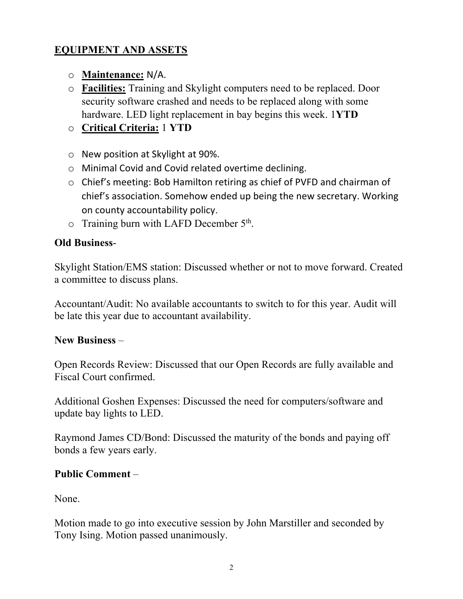## **EQUIPMENT AND ASSETS**

- o **Maintenance:** N/A.
- o **Facilities:** Training and Skylight computers need to be replaced. Door security software crashed and needs to be replaced along with some hardware. LED light replacement in bay begins this week. 1**YTD**
- o **Critical Criteria:** 1 **YTD**
- o New position at Skylight at 90%.
- o Minimal Covid and Covid related overtime declining.
- o Chief's meeting: Bob Hamilton retiring as chief of PVFD and chairman of chief's association. Somehow ended up being the new secretary. Working on county accountability policy.
- $\circ$  Training burn with LAFD December 5<sup>th</sup>.

### **Old Business**-

Skylight Station/EMS station: Discussed whether or not to move forward. Created a committee to discuss plans.

Accountant/Audit: No available accountants to switch to for this year. Audit will be late this year due to accountant availability.

### **New Business** –

Open Records Review: Discussed that our Open Records are fully available and Fiscal Court confirmed.

Additional Goshen Expenses: Discussed the need for computers/software and update bay lights to LED.

Raymond James CD/Bond: Discussed the maturity of the bonds and paying off bonds a few years early.

### **Public Comment** –

None.

Motion made to go into executive session by John Marstiller and seconded by Tony Ising. Motion passed unanimously.